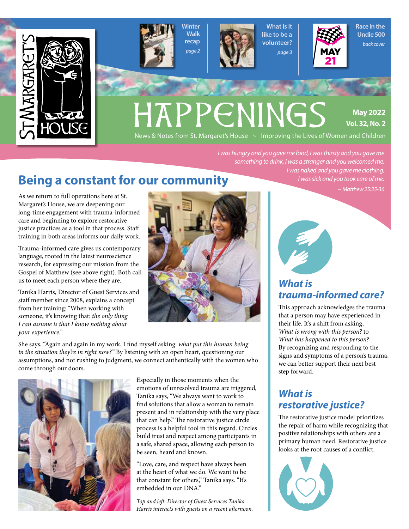





What is it like to be a volunteer? *page 3*



Race in the Undie 500 *back cover*

# HAPPENINGS

**May 2022 Vol. 32, No. 2**

News & Notes from St. Margaret's House  $\sim$  Improving the Lives of Women and Children

*I was hungry and you gave me food, I was thirsty and you gave me something to drink, I was a stranger and you welcomed me, I was naked and you gave me clothing,*

## **Being a constant for our community**

As we return to full operations here at St. Margaret's House, we are deepening our long-time engagement with trauma-informed care and beginning to explore restorative justice practices as a tool in that process. Staff training in both areas informs our daily work.

Trauma-informed care gives us contemporary language, rooted in the latest neuroscience research, for expressing our mission from the Gospel of Matthew (see above right). Both call us to meet each person where they are.

Tanika Harris, Director of Guest Services and staff member since 2008, explains a concept from her training: "When working with someone, it's knowing that: *the only thing I can assume is that I know nothing about your experience."*



She says, "Again and again in my work, I find myself asking: *what put this human being in the situation they're in right now?"* By listening with an open heart, questioning our assumptions, and not rushing to judgment, we connect authentically with the women who come through our doors.



Especially in those moments when the emotions of unresolved trauma are triggered, Tanika says, "We always want to work to find solutions that allow a woman to remain present and in relationship with the very place that can help." The restorative justice circle process is a helpful tool in this regard. Circles build trust and respect among participants in a safe, shared space, allowing each person to be seen, heard and known.

"Love, care, and respect have always been at the heart of what we do. We want to be that constant for others," Tanika says. "It's embedded in our DNA."

*Top and left. Director of Guest Services Tanika Harris interacts with guests on a recent afternoon.*  *I was sick and you took care of me. ~ Matthew 25:35-36*



#### *What is trauma-informed care?*

This approach acknowledges the trauma that a person may have experienced in their life. It's a shift from asking, *What is wrong with this person?* to *What has happened to this person?* By recognizing and responding to the signs and symptoms of a person's trauma, we can better support their next best step forward.

#### *What is restorative justice?*

The restorative justice model prioritizes the repair of harm while recognizing that positive relationships with others are a primary human need. Restorative justice looks at the root causes of a conflict.

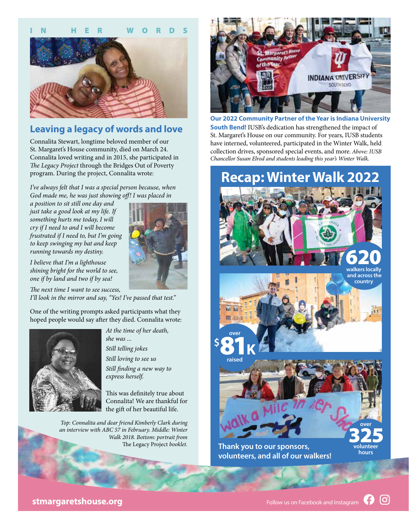

#### **Leaving a legacy of words and love**

Connalita Stewart, longtime beloved member of our St. Margaret's House community, died on March 24. Connalita loved writing and in 2015, she participated in *The Legacy Project* through the Bridges Out of Poverty program. During the project, Connalita wrote:

*I've always felt that I was a special person because, when God made me, he was just showing off! I was placed in* 

*a position to sit still one day and just take a good look at my life. If something hurts me today, I will cry if I need to and I will become frustrated if I need to, but I'm going to keep swinging my bat and keep running towards my destiny.*

*I believe that I'm a lighthouse shining bright for the world to see, one if by land and two if by sea!*

*The next time I want to see success, I'll look in the mirror and say, "Yes! I've passed that test."*

One of the writing prompts asked participants what they hoped people would say after they died. Connalita wrote:



*At the time of her death, she was ... Still telling jokes*

*Still loving to see us*

*Still finding a new way to express herself.*

This was definitely true about Connalita! We are thankful for the gift of her beautiful life.

*Top: Connalita and dear friend Kimberly Clark during an interview with ABC 57 in February. Middle: Winter Walk 2018. Bottom: portrait from* The Legacy Project *booklet.*



**Our 2022 Community Partner of the Year is Indiana University South Bend!** IUSB's dedication has strengthened the impact of St. Margaret's House on our community. For years, IUSB students have interned, volunteered, participated in the Winter Walk, held collection drives, sponsored special events, and more. *Above: IUSB Chancellor Susan Elrod and students leading this year's Winter Walk.*

# **Recap: Winter Walk 2022**



**Thank you to our sponsors, volunteers, and all of our walkers!**

**hours**

 $\lbrack$ O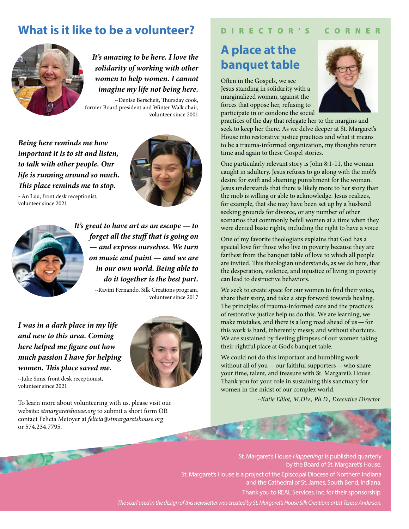### **What is it like to be a volunteer?**



*It's amazing to be here. I love the solidarity of working with other women to help women. I cannot imagine my life not being here.*

~Denise Berscheit, Thursday cook, former Board president and Winter Walk chair, volunteer since 2001

*Being here reminds me how important it is to sit and listen, to talk with other people. Our life is running around so much. This place reminds me to stop.*







*It's great to have art as an escape — to forget all the stuff that is going on — and express ourselves. We turn on music and paint — and we are in our own world. Being able to do it together is the best part.*

~Ravini Fernando, Silk Creations program, volunteer since 2017

*I was in a dark place in my life and new to this area. Coming here helped me figure out how much passion I have for helping women. This place saved me.*



~Julie Sims, front desk receptionist, volunteer since 2021

To learn more about volunteering with us, please visit our website: *stmargaretshouse.org* to submit a short form OR contact Felicia Metoyer at *felicia@stmargaretshouse.org* or 574.234.7795.

#### D I R E C T O R ' S C O R N E R

## **A place at the banquet table**

Often in the Gospels, we see Jesus standing in solidarity with a marginalized woman, against the forces that oppose her, refusing to participate in or condone the social



practices of the day that relegate her to the margins and seek to keep her there. As we delve deeper at St. Margaret's House into restorative justice practices and what it means to be a trauma-informed organization, my thoughts return time and again to these Gospel stories.

One particularly relevant story is John 8:1-11, the woman caught in adultery. Jesus refuses to go along with the mob's desire for swift and shaming punishment for the woman. Jesus understands that there is likely more to her story than the mob is willing or able to acknowledge. Jesus realizes, for example, that she may have been set up by a husband seeking grounds for divorce, or any number of other scenarios that commonly befell women at a time when they were denied basic rights, including the right to have a voice.

One of my favorite theologians explains that God has a special love for those who live in poverty because they are farthest from the banquet table of love to which all people are invited. This theologian understands, as we do here, that the desperation, violence, and injustice of living in poverty can lead to destructive behaviors.

We seek to create space for our women to find their voice, share their story, and take a step forward towards healing. The principles of trauma-informed care and the practices of restorative justice help us do this. We are learning, we make mistakes, and there is a long road ahead of us—for this work is hard, inherently messy, and without shortcuts. We are sustained by fleeting glimpses of our women taking their rightful place at God's banquet table.

We could not do this important and humbling work without all of you—our faithful supporters—who share your time, talent, and treasure with St. Margaret's House. Thank you for your role in sustaining this sanctuary for women in the midst of our complex world.

*~Katie Elliot, M.Div., Ph.D., Executive Director*

St. Margaret's House *Happenings* is published quarterly by the Board of St. Margaret's House. St. Margaret's House is a project of the Episcopal Diocese of Northern Indiana and the Cathedral of St. James, South Bend, Indiana. Thank you to REAL Services, Inc. for their sponsorship. The scarf used in the design of this newsletter was created by St. Margaret's House Silk Creations artist Teresa Anderson.